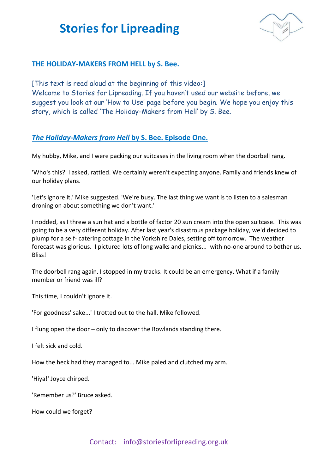\_\_\_\_\_\_\_\_\_\_\_\_\_\_\_\_\_\_\_\_\_\_\_\_\_\_\_\_\_\_\_\_\_\_\_\_\_\_\_\_\_\_\_\_\_\_\_\_\_\_\_\_\_\_\_\_\_\_\_\_\_\_\_\_\_\_\_\_



## **THE HOLIDAY-MAKERS FROM HELL by S. Bee.**

[This text is read aloud at the beginning of this video:] Welcome to Stories for Lipreading. If you haven't used our website before, we suggest you look at our 'How to Use' page before you begin. We hope you enjoy this story, which is called 'The Holiday-Makers from Hell' by S. Bee.

## *The Holiday-Makers from Hell* **by S. Bee. Episode One.**

My hubby, Mike, and I were packing our suitcases in the living room when the doorbell rang.

'Who's this?' I asked, rattled. We certainly weren't expecting anyone. Family and friends knew of our holiday plans.

'Let's ignore it,' Mike suggested. 'We're busy. The last thing we want is to listen to a salesman droning on about something we don't want.'

I nodded, as I threw a sun hat and a bottle of factor 20 sun cream into the open suitcase. This was going to be a very different holiday. After last year's disastrous package holiday, we'd decided to plump for a self- catering cottage in the Yorkshire Dales, setting off tomorrow. The weather forecast was glorious. I pictured lots of long walks and picnics... with no-one around to bother us. **Bliss!** 

The doorbell rang again. I stopped in my tracks. It could be an emergency. What if a family member or friend was ill?

This time, I couldn't ignore it.

'For goodness' sake...' I trotted out to the hall. Mike followed.

I flung open the door – only to discover the Rowlands standing there.

I felt sick and cold.

How the heck had they managed to... Mike paled and clutched my arm.

'Hiya!' Joyce chirped.

'Remember us?' Bruce asked.

How could we forget?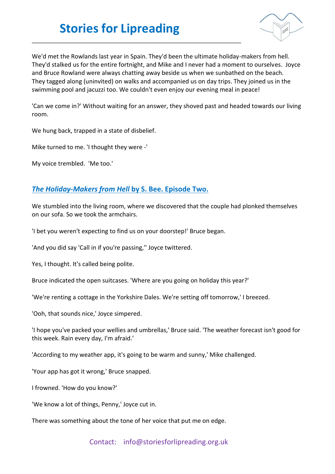## **Stories for Lipreading**

\_\_\_\_\_\_\_\_\_\_\_\_\_\_\_\_\_\_\_\_\_\_\_\_\_\_\_\_\_\_\_\_\_\_\_\_\_\_\_\_\_\_\_\_\_\_\_\_\_\_\_\_\_\_\_\_\_\_\_\_\_\_\_\_\_\_\_\_



We'd met the Rowlands last year in Spain. They'd been the ultimate holiday-makers from hell. They'd stalked us for the entire fortnight, and Mike and I never had a moment to ourselves. Joyce and Bruce Rowland were always chatting away beside us when we sunbathed on the beach. They tagged along (uninvited) on walks and accompanied us on day trips. They joined us in the swimming pool and jacuzzi too. We couldn't even enjoy our evening meal in peace!

'Can we come in?' Without waiting for an answer, they shoved past and headed towards our living room.

We hung back, trapped in a state of disbelief.

Mike turned to me. 'I thought they were -'

My voice trembled. 'Me too.'

## *The Holiday-Makers from Hell* **by S. Bee. Episode Two.**

We stumbled into the living room, where we discovered that the couple had plonked themselves on our sofa. So we took the armchairs.

'I bet you weren't expecting to find us on your doorstep!' Bruce began.

'And you did say 'Call in if you're passing,'' Joyce twittered.

Yes, I thought. It's called being polite.

Bruce indicated the open suitcases. 'Where are you going on holiday this year?'

'We're renting a cottage in the Yorkshire Dales. We're setting off tomorrow,' I breezed.

'Ooh, that sounds nice,' Joyce simpered.

'I hope you've packed your wellies and umbrellas,' Bruce said. 'The weather forecast isn't good for this week. Rain every day, I'm afraid.'

'According to my weather app, it's going to be warm and sunny,' Mike challenged.

'Your app has got it wrong,' Bruce snapped.

I frowned. 'How do you know?'

'We know a lot of things, Penny,' Joyce cut in.

There was something about the tone of her voice that put me on edge.

Contact: info@storiesforlipreading.org.uk